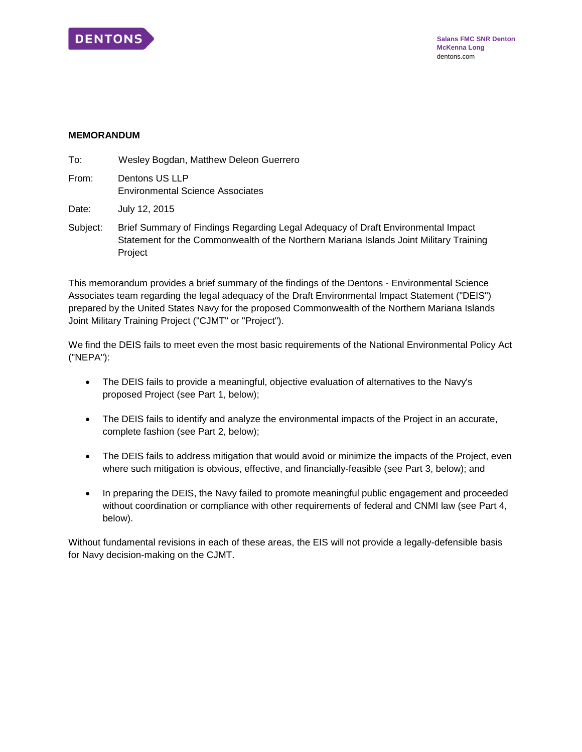

#### **MEMORANDUM**

| To:   | Wesley Bogdan, Matthew Deleon Guerrero                    |
|-------|-----------------------------------------------------------|
| From: | Dentons US LLP<br><b>Environmental Science Associates</b> |
| Date: | July 12, 2015                                             |

Subject: Brief Summary of Findings Regarding Legal Adequacy of Draft Environmental Impact Statement for the Commonwealth of the Northern Mariana Islands Joint Military Training Project

This memorandum provides a brief summary of the findings of the Dentons - Environmental Science Associates team regarding the legal adequacy of the Draft Environmental Impact Statement ("DEIS") prepared by the United States Navy for the proposed Commonwealth of the Northern Mariana Islands Joint Military Training Project ("CJMT" or "Project").

We find the DEIS fails to meet even the most basic requirements of the National Environmental Policy Act ("NEPA"):

- The DEIS fails to provide a meaningful, objective evaluation of alternatives to the Navy's proposed Project (see Part 1, below);
- The DEIS fails to identify and analyze the environmental impacts of the Project in an accurate, complete fashion (see Part 2, below);
- The DEIS fails to address mitigation that would avoid or minimize the impacts of the Project, even where such mitigation is obvious, effective, and financially-feasible (see Part 3, below); and
- In preparing the DEIS, the Navy failed to promote meaningful public engagement and proceeded without coordination or compliance with other requirements of federal and CNMI law (see Part 4, below).

Without fundamental revisions in each of these areas, the EIS will not provide a legally-defensible basis for Navy decision-making on the CJMT.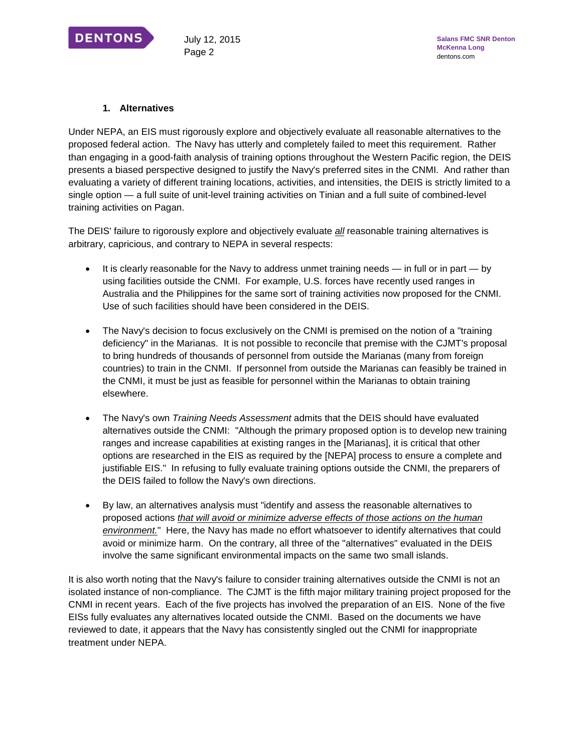

### **1. Alternatives**

Under NEPA, an EIS must rigorously explore and objectively evaluate all reasonable alternatives to the proposed federal action. The Navy has utterly and completely failed to meet this requirement. Rather than engaging in a good-faith analysis of training options throughout the Western Pacific region, the DEIS presents a biased perspective designed to justify the Navy's preferred sites in the CNMI. And rather than evaluating a variety of different training locations, activities, and intensities, the DEIS is strictly limited to a single option — a full suite of unit-level training activities on Tinian and a full suite of combined-level training activities on Pagan.

The DEIS' failure to rigorously explore and objectively evaluate *all* reasonable training alternatives is arbitrary, capricious, and contrary to NEPA in several respects:

- $\bullet$  It is clearly reasonable for the Navy to address unmet training needs in full or in part by using facilities outside the CNMI. For example, U.S. forces have recently used ranges in Australia and the Philippines for the same sort of training activities now proposed for the CNMI. Use of such facilities should have been considered in the DEIS.
- The Navy's decision to focus exclusively on the CNMI is premised on the notion of a "training" deficiency" in the Marianas. It is not possible to reconcile that premise with the CJMT's proposal to bring hundreds of thousands of personnel from outside the Marianas (many from foreign countries) to train in the CNMI. If personnel from outside the Marianas can feasibly be trained in the CNMI, it must be just as feasible for personnel within the Marianas to obtain training elsewhere.
- The Navy's own *Training Needs Assessment* admits that the DEIS should have evaluated alternatives outside the CNMI: "Although the primary proposed option is to develop new training ranges and increase capabilities at existing ranges in the [Marianas], it is critical that other options are researched in the EIS as required by the [NEPA] process to ensure a complete and justifiable EIS." In refusing to fully evaluate training options outside the CNMI, the preparers of the DEIS failed to follow the Navy's own directions.
- By law, an alternatives analysis must "identify and assess the reasonable alternatives to proposed actions *that will avoid or minimize adverse effects of those actions on the human environment.*" Here, the Navy has made no effort whatsoever to identify alternatives that could avoid or minimize harm. On the contrary, all three of the "alternatives" evaluated in the DEIS involve the same significant environmental impacts on the same two small islands.

It is also worth noting that the Navy's failure to consider training alternatives outside the CNMI is not an isolated instance of non-compliance. The CJMT is the fifth major military training project proposed for the CNMI in recent years. Each of the five projects has involved the preparation of an EIS. None of the five EISs fully evaluates any alternatives located outside the CNMI. Based on the documents we have reviewed to date, it appears that the Navy has consistently singled out the CNMI for inappropriate treatment under NEPA.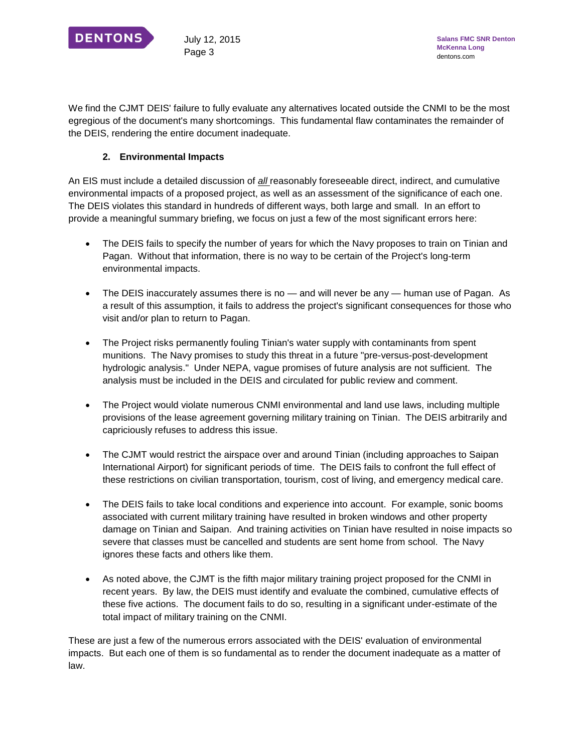

We find the CJMT DEIS' failure to fully evaluate any alternatives located outside the CNMI to be the most egregious of the document's many shortcomings. This fundamental flaw contaminates the remainder of the DEIS, rendering the entire document inadequate.

# **2. Environmental Impacts**

An EIS must include a detailed discussion of *all* reasonably foreseeable direct, indirect, and cumulative environmental impacts of a proposed project, as well as an assessment of the significance of each one. The DEIS violates this standard in hundreds of different ways, both large and small. In an effort to provide a meaningful summary briefing, we focus on just a few of the most significant errors here:

- The DEIS fails to specify the number of years for which the Navy proposes to train on Tinian and Pagan. Without that information, there is no way to be certain of the Project's long-term environmental impacts.
- The DEIS inaccurately assumes there is no and will never be any human use of Pagan. As a result of this assumption, it fails to address the project's significant consequences for those who visit and/or plan to return to Pagan.
- The Project risks permanently fouling Tinian's water supply with contaminants from spent munitions. The Navy promises to study this threat in a future "pre-versus-post-development hydrologic analysis." Under NEPA, vague promises of future analysis are not sufficient. The analysis must be included in the DEIS and circulated for public review and comment.
- The Project would violate numerous CNMI environmental and land use laws, including multiple provisions of the lease agreement governing military training on Tinian. The DEIS arbitrarily and capriciously refuses to address this issue.
- The CJMT would restrict the airspace over and around Tinian (including approaches to Saipan International Airport) for significant periods of time. The DEIS fails to confront the full effect of these restrictions on civilian transportation, tourism, cost of living, and emergency medical care.
- The DEIS fails to take local conditions and experience into account. For example, sonic booms associated with current military training have resulted in broken windows and other property damage on Tinian and Saipan. And training activities on Tinian have resulted in noise impacts so severe that classes must be cancelled and students are sent home from school. The Navy ignores these facts and others like them.
- As noted above, the CJMT is the fifth major military training project proposed for the CNMI in recent years. By law, the DEIS must identify and evaluate the combined, cumulative effects of these five actions. The document fails to do so, resulting in a significant under-estimate of the total impact of military training on the CNMI.

These are just a few of the numerous errors associated with the DEIS' evaluation of environmental impacts. But each one of them is so fundamental as to render the document inadequate as a matter of law.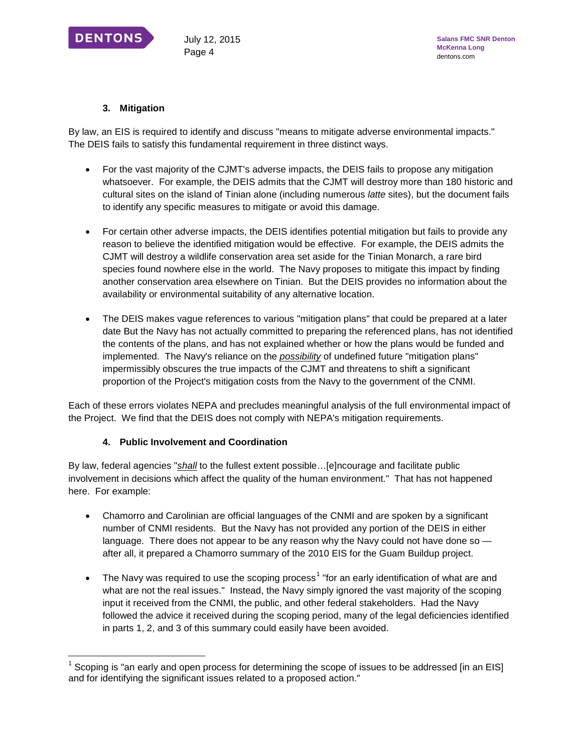

j

## **3. Mitigation**

By law, an EIS is required to identify and discuss "means to mitigate adverse environmental impacts." The DEIS fails to satisfy this fundamental requirement in three distinct ways.

- For the vast majority of the CJMT's adverse impacts, the DEIS fails to propose any mitigation whatsoever. For example, the DEIS admits that the CJMT will destroy more than 180 historic and cultural sites on the island of Tinian alone (including numerous *latte* sites), but the document fails to identify any specific measures to mitigate or avoid this damage.
- For certain other adverse impacts, the DEIS identifies potential mitigation but fails to provide any reason to believe the identified mitigation would be effective. For example, the DEIS admits the CJMT will destroy a wildlife conservation area set aside for the Tinian Monarch, a rare bird species found nowhere else in the world. The Navy proposes to mitigate this impact by finding another conservation area elsewhere on Tinian. But the DEIS provides no information about the availability or environmental suitability of any alternative location.
- The DEIS makes vague references to various "mitigation plans" that could be prepared at a later date But the Navy has not actually committed to preparing the referenced plans, has not identified the contents of the plans, and has not explained whether or how the plans would be funded and implemented. The Navy's reliance on the *possibility* of undefined future "mitigation plans" impermissibly obscures the true impacts of the CJMT and threatens to shift a significant proportion of the Project's mitigation costs from the Navy to the government of the CNMI.

Each of these errors violates NEPA and precludes meaningful analysis of the full environmental impact of the Project. We find that the DEIS does not comply with NEPA's mitigation requirements.

### **4. Public Involvement and Coordination**

By law, federal agencies "*shall* to the fullest extent possible…[e]ncourage and facilitate public involvement in decisions which affect the quality of the human environment." That has not happened here. For example:

- Chamorro and Carolinian are official languages of the CNMI and are spoken by a significant number of CNMI residents. But the Navy has not provided any portion of the DEIS in either language. There does not appear to be any reason why the Navy could not have done so after all, it prepared a Chamorro summary of the 2010 EIS for the Guam Buildup project.
- The Navy was required to use the scoping process<sup>[1](#page-3-0)</sup> "for an early identification of what are and what are not the real issues." Instead, the Navy simply ignored the vast majority of the scoping input it received from the CNMI, the public, and other federal stakeholders. Had the Navy followed the advice it received during the scoping period, many of the legal deficiencies identified in parts 1, 2, and 3 of this summary could easily have been avoided.

<span id="page-3-0"></span> $1$  Scoping is "an early and open process for determining the scope of issues to be addressed [in an EIS] and for identifying the significant issues related to a proposed action."